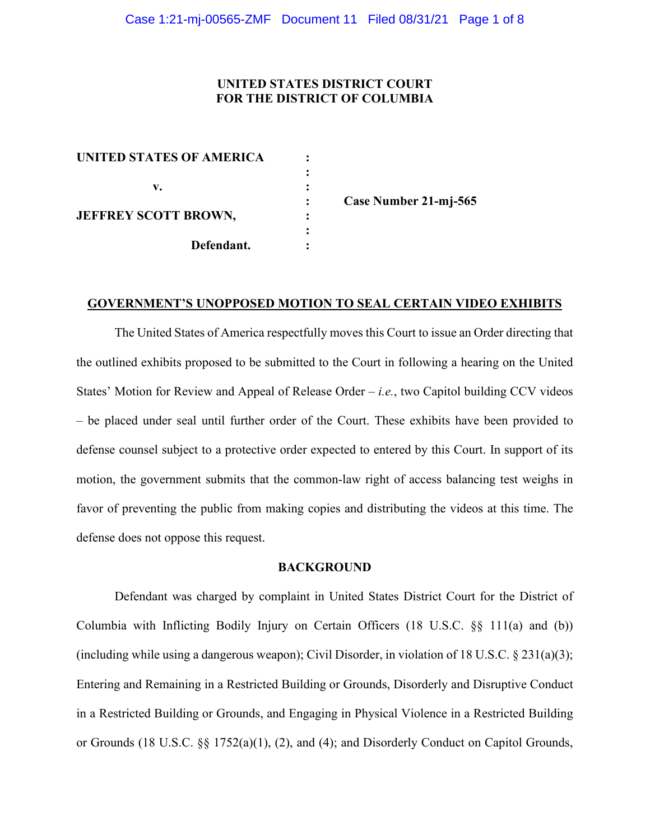### **UNITED STATES DISTRICT COURT FOR THE DISTRICT OF COLUMBIA**

| <b>UNITED STATES OF AMERICA</b> |                       |
|---------------------------------|-----------------------|
|                                 |                       |
| v.                              |                       |
|                                 | Case Number 21-mj-565 |
| <b>JEFFREY SCOTT BROWN,</b>     |                       |
|                                 |                       |
| Defendant.                      |                       |

### **GOVERNMENT'S UNOPPOSED MOTION TO SEAL CERTAIN VIDEO EXHIBITS**

The United States of America respectfully moves this Court to issue an Order directing that the outlined exhibits proposed to be submitted to the Court in following a hearing on the United States' Motion for Review and Appeal of Release Order – *i.e.*, two Capitol building CCV videos – be placed under seal until further order of the Court. These exhibits have been provided to defense counsel subject to a protective order expected to entered by this Court. In support of its motion, the government submits that the common-law right of access balancing test weighs in favor of preventing the public from making copies and distributing the videos at this time. The defense does not oppose this request.

### **BACKGROUND**

Defendant was charged by complaint in United States District Court for the District of Columbia with Inflicting Bodily Injury on Certain Officers (18 U.S.C. §§ 111(a) and (b)) (including while using a dangerous weapon); Civil Disorder, in violation of 18 U.S.C.  $\S 231(a)(3)$ ; Entering and Remaining in a Restricted Building or Grounds, Disorderly and Disruptive Conduct in a Restricted Building or Grounds, and Engaging in Physical Violence in a Restricted Building or Grounds (18 U.S.C. §§ 1752(a)(1), (2), and (4); and Disorderly Conduct on Capitol Grounds,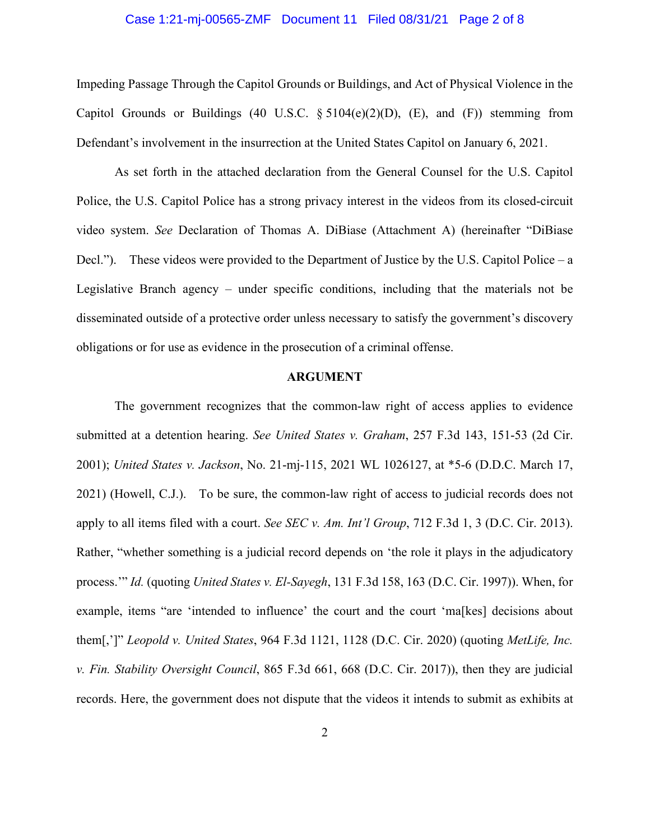### Case 1:21-mj-00565-ZMF Document 11 Filed 08/31/21 Page 2 of 8

Impeding Passage Through the Capitol Grounds or Buildings, and Act of Physical Violence in the Capitol Grounds or Buildings (40 U.S.C.  $\S 5104(e)(2)(D)$ , (E), and (F)) stemming from Defendant's involvement in the insurrection at the United States Capitol on January 6, 2021.

As set forth in the attached declaration from the General Counsel for the U.S. Capitol Police, the U.S. Capitol Police has a strong privacy interest in the videos from its closed-circuit video system. *See* Declaration of Thomas A. DiBiase (Attachment A) (hereinafter "DiBiase Decl."). These videos were provided to the Department of Justice by the U.S. Capitol Police – a Legislative Branch agency – under specific conditions, including that the materials not be disseminated outside of a protective order unless necessary to satisfy the government's discovery obligations or for use as evidence in the prosecution of a criminal offense.

### **ARGUMENT**

The government recognizes that the common-law right of access applies to evidence submitted at a detention hearing. *See United States v. Graham*, 257 F.3d 143, 151-53 (2d Cir. 2001); *United States v. Jackson*, No. 21-mj-115, 2021 WL 1026127, at \*5-6 (D.D.C. March 17, 2021) (Howell, C.J.). To be sure, the common-law right of access to judicial records does not apply to all items filed with a court. *See SEC v. Am. Int'l Group*, 712 F.3d 1, 3 (D.C. Cir. 2013). Rather, "whether something is a judicial record depends on 'the role it plays in the adjudicatory process.'" *Id.* (quoting *United States v. El-Sayegh*, 131 F.3d 158, 163 (D.C. Cir. 1997)). When, for example, items "are 'intended to influence' the court and the court 'ma[kes] decisions about them[,']" *Leopold v. United States*, 964 F.3d 1121, 1128 (D.C. Cir. 2020) (quoting *MetLife, Inc. v. Fin. Stability Oversight Council*, 865 F.3d 661, 668 (D.C. Cir. 2017)), then they are judicial records. Here, the government does not dispute that the videos it intends to submit as exhibits at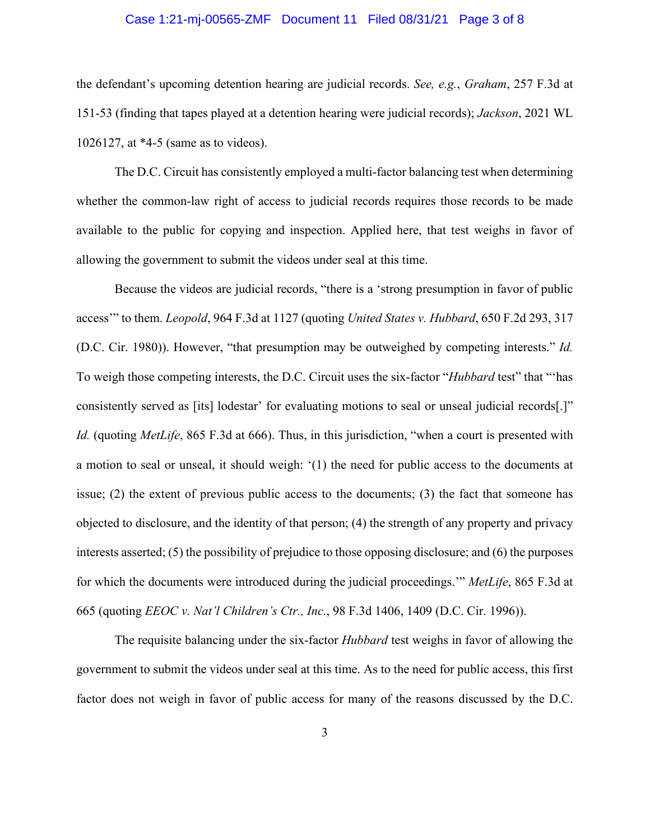### Case 1:21-mj-00565-ZMF Document 11 Filed 08/31/21 Page 3 of 8

the defendant's upcoming detention hearing are judicial records. *See, e.g.*, *Graham*, 257 F.3d at 151-53 (finding that tapes played at a detention hearing were judicial records); *Jackson*, 2021 WL 1026127, at \*4-5 (same as to videos).

The D.C. Circuit has consistently employed a multi-factor balancing test when determining whether the common-law right of access to judicial records requires those records to be made available to the public for copying and inspection. Applied here, that test weighs in favor of allowing the government to submit the videos under seal at this time.

Because the videos are judicial records, "there is a 'strong presumption in favor of public access'" to them. *Leopold*, 964 F.3d at 1127 (quoting *United States v. Hubbard*, 650 F.2d 293, 317 (D.C. Cir. 1980)). However, "that presumption may be outweighed by competing interests." *Id.* To weigh those competing interests, the D.C. Circuit uses the six-factor "*Hubbard* test" that "'has consistently served as [its] lodestar' for evaluating motions to seal or unseal judicial records[.]" *Id.* (quoting *MetLife*, 865 F.3d at 666). Thus, in this jurisdiction, "when a court is presented with a motion to seal or unseal, it should weigh: '(1) the need for public access to the documents at issue; (2) the extent of previous public access to the documents; (3) the fact that someone has objected to disclosure, and the identity of that person; (4) the strength of any property and privacy interests asserted; (5) the possibility of prejudice to those opposing disclosure; and (6) the purposes for which the documents were introduced during the judicial proceedings.'" *MetLife*, 865 F.3d at 665 (quoting *EEOC v. Nat'l Children's Ctr., Inc.*, 98 F.3d 1406, 1409 (D.C. Cir. 1996)).

The requisite balancing under the six-factor *Hubbard* test weighs in favor of allowing the government to submit the videos under seal at this time. As to the need for public access, this first factor does not weigh in favor of public access for many of the reasons discussed by the D.C.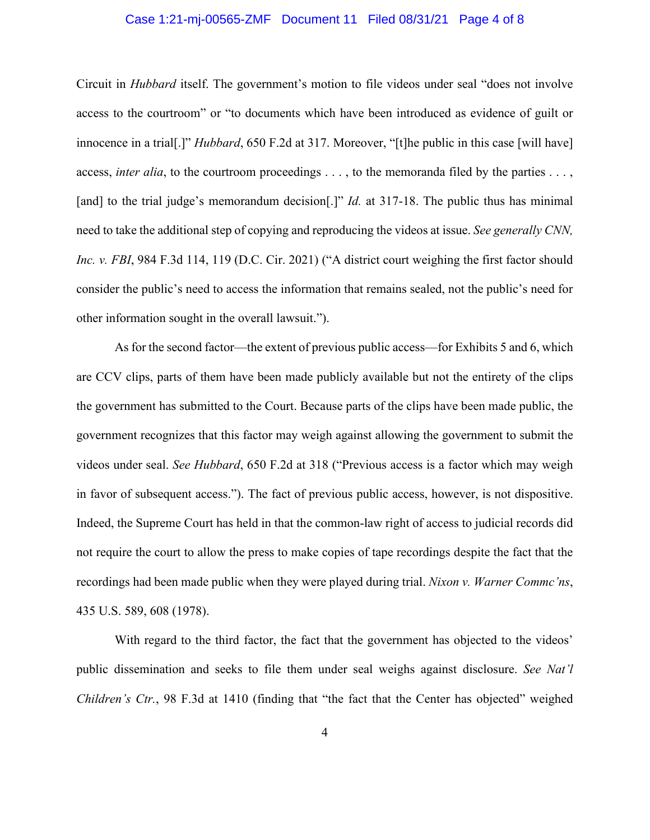### Case 1:21-mj-00565-ZMF Document 11 Filed 08/31/21 Page 4 of 8

Circuit in *Hubbard* itself. The government's motion to file videos under seal "does not involve access to the courtroom" or "to documents which have been introduced as evidence of guilt or innocence in a trial[.]" *Hubbard*, 650 F.2d at 317. Moreover, "[t]he public in this case [will have] access, *inter alia*, to the courtroom proceedings . . . , to the memoranda filed by the parties . . . , [and] to the trial judge's memorandum decision[.]" *Id.* at 317-18. The public thus has minimal need to take the additional step of copying and reproducing the videos at issue. *See generally CNN, Inc. v. FBI*, 984 F.3d 114, 119 (D.C. Cir. 2021) ("A district court weighing the first factor should consider the public's need to access the information that remains sealed, not the public's need for other information sought in the overall lawsuit.").

As for the second factor—the extent of previous public access—for Exhibits 5 and 6, which are CCV clips, parts of them have been made publicly available but not the entirety of the clips the government has submitted to the Court. Because parts of the clips have been made public, the government recognizes that this factor may weigh against allowing the government to submit the videos under seal. *See Hubbard*, 650 F.2d at 318 ("Previous access is a factor which may weigh in favor of subsequent access."). The fact of previous public access, however, is not dispositive. Indeed, the Supreme Court has held in that the common-law right of access to judicial records did not require the court to allow the press to make copies of tape recordings despite the fact that the recordings had been made public when they were played during trial. *Nixon v. Warner Commc'ns*, 435 U.S. 589, 608 (1978).

With regard to the third factor, the fact that the government has objected to the videos' public dissemination and seeks to file them under seal weighs against disclosure. *See Nat'l Children's Ctr.*, 98 F.3d at 1410 (finding that "the fact that the Center has objected" weighed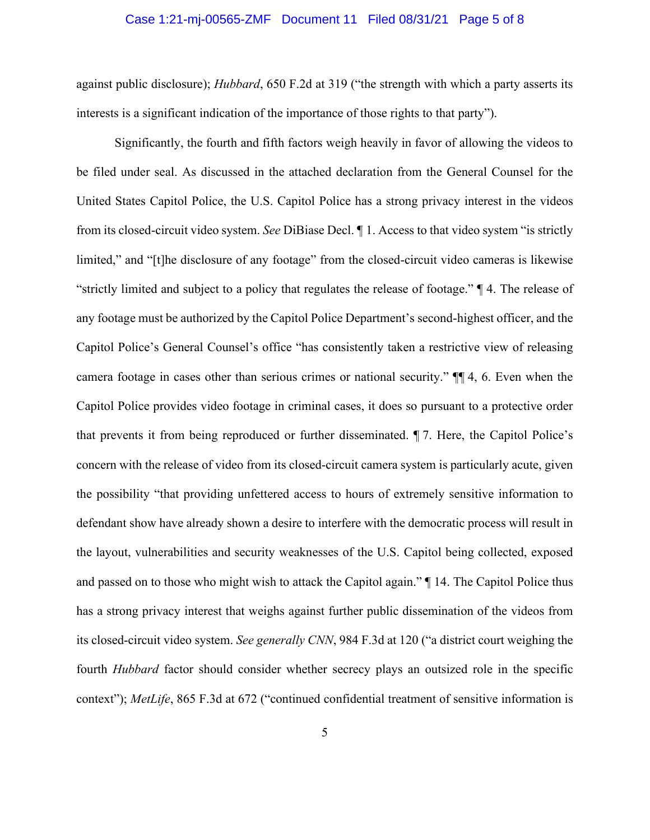### Case 1:21-mj-00565-ZMF Document 11 Filed 08/31/21 Page 5 of 8

against public disclosure); *Hubbard*, 650 F.2d at 319 ("the strength with which a party asserts its interests is a significant indication of the importance of those rights to that party").

Significantly, the fourth and fifth factors weigh heavily in favor of allowing the videos to be filed under seal. As discussed in the attached declaration from the General Counsel for the United States Capitol Police, the U.S. Capitol Police has a strong privacy interest in the videos from its closed-circuit video system. *See* DiBiase Decl. ¶ 1. Access to that video system "is strictly limited," and "[t]he disclosure of any footage" from the closed-circuit video cameras is likewise "strictly limited and subject to a policy that regulates the release of footage." ¶ 4. The release of any footage must be authorized by the Capitol Police Department's second-highest officer, and the Capitol Police's General Counsel's office "has consistently taken a restrictive view of releasing camera footage in cases other than serious crimes or national security." ¶¶ 4, 6. Even when the Capitol Police provides video footage in criminal cases, it does so pursuant to a protective order that prevents it from being reproduced or further disseminated. ¶ 7. Here, the Capitol Police's concern with the release of video from its closed-circuit camera system is particularly acute, given the possibility "that providing unfettered access to hours of extremely sensitive information to defendant show have already shown a desire to interfere with the democratic process will result in the layout, vulnerabilities and security weaknesses of the U.S. Capitol being collected, exposed and passed on to those who might wish to attack the Capitol again." ¶ 14. The Capitol Police thus has a strong privacy interest that weighs against further public dissemination of the videos from its closed-circuit video system. *See generally CNN*, 984 F.3d at 120 ("a district court weighing the fourth *Hubbard* factor should consider whether secrecy plays an outsized role in the specific context"); *MetLife*, 865 F.3d at 672 ("continued confidential treatment of sensitive information is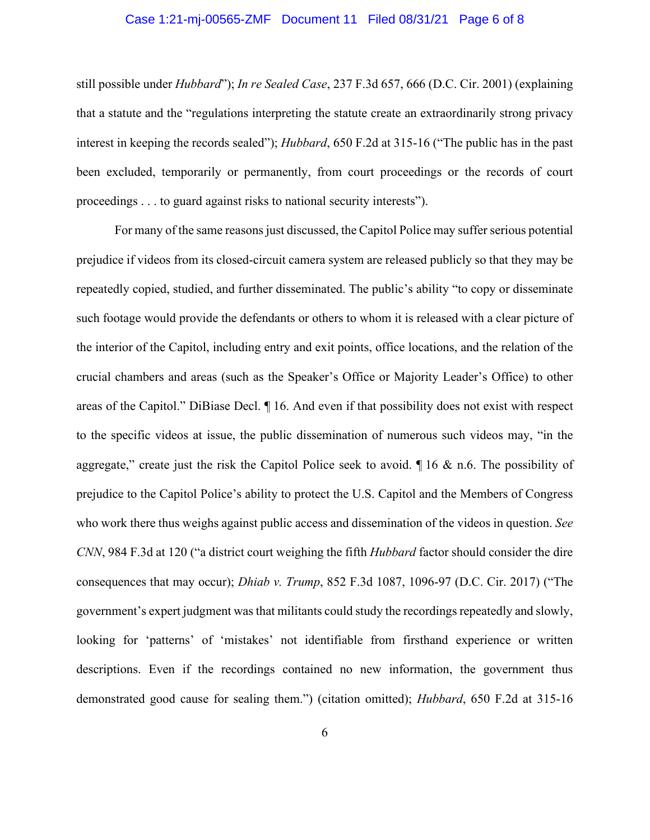### Case 1:21-mj-00565-ZMF Document 11 Filed 08/31/21 Page 6 of 8

still possible under *Hubbard*"); *In re Sealed Case*, 237 F.3d 657, 666 (D.C. Cir. 2001) (explaining that a statute and the "regulations interpreting the statute create an extraordinarily strong privacy interest in keeping the records sealed"); *Hubbard*, 650 F.2d at 315-16 ("The public has in the past been excluded, temporarily or permanently, from court proceedings or the records of court proceedings . . . to guard against risks to national security interests").

For many of the same reasons just discussed, the Capitol Police may suffer serious potential prejudice if videos from its closed-circuit camera system are released publicly so that they may be repeatedly copied, studied, and further disseminated. The public's ability "to copy or disseminate such footage would provide the defendants or others to whom it is released with a clear picture of the interior of the Capitol, including entry and exit points, office locations, and the relation of the crucial chambers and areas (such as the Speaker's Office or Majority Leader's Office) to other areas of the Capitol." DiBiase Decl. ¶ 16. And even if that possibility does not exist with respect to the specific videos at issue, the public dissemination of numerous such videos may, "in the aggregate," create just the risk the Capitol Police seek to avoid. ¶ 16 & n.6. The possibility of prejudice to the Capitol Police's ability to protect the U.S. Capitol and the Members of Congress who work there thus weighs against public access and dissemination of the videos in question. *See CNN*, 984 F.3d at 120 ("a district court weighing the fifth *Hubbard* factor should consider the dire consequences that may occur); *Dhiab v. Trump*, 852 F.3d 1087, 1096-97 (D.C. Cir. 2017) ("The government's expert judgment was that militants could study the recordings repeatedly and slowly, looking for 'patterns' of 'mistakes' not identifiable from firsthand experience or written descriptions. Even if the recordings contained no new information, the government thus demonstrated good cause for sealing them.") (citation omitted); *Hubbard*, 650 F.2d at 315-16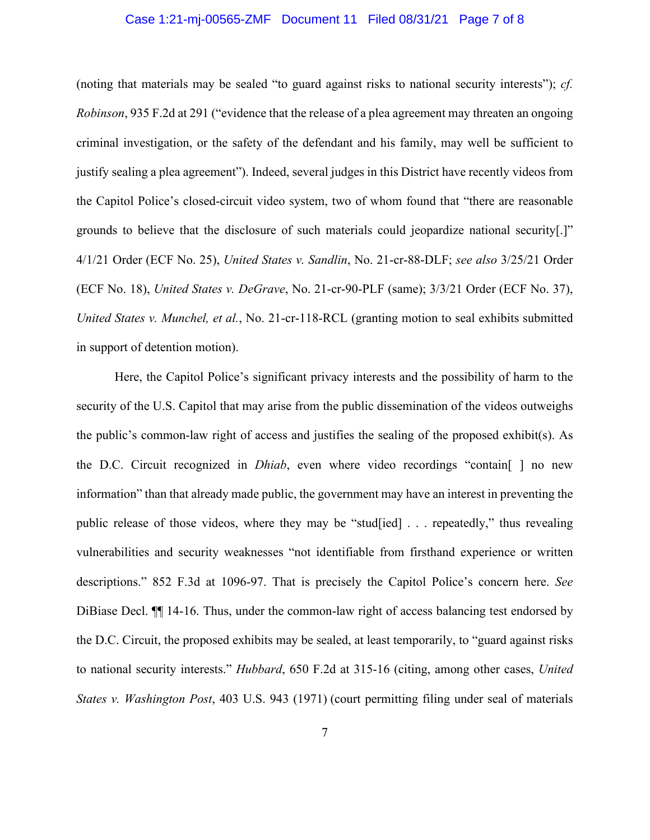### Case 1:21-mj-00565-ZMF Document 11 Filed 08/31/21 Page 7 of 8

(noting that materials may be sealed "to guard against risks to national security interests"); *cf. Robinson*, 935 F.2d at 291 ("evidence that the release of a plea agreement may threaten an ongoing criminal investigation, or the safety of the defendant and his family, may well be sufficient to justify sealing a plea agreement"). Indeed, several judges in this District have recently videos from the Capitol Police's closed-circuit video system, two of whom found that "there are reasonable grounds to believe that the disclosure of such materials could jeopardize national security[.]" 4/1/21 Order (ECF No. 25), *United States v. Sandlin*, No. 21-cr-88-DLF; *see also* 3/25/21 Order (ECF No. 18), *United States v. DeGrave*, No. 21-cr-90-PLF (same); 3/3/21 Order (ECF No. 37), *United States v. Munchel, et al.*, No. 21-cr-118-RCL (granting motion to seal exhibits submitted in support of detention motion).

Here, the Capitol Police's significant privacy interests and the possibility of harm to the security of the U.S. Capitol that may arise from the public dissemination of the videos outweighs the public's common-law right of access and justifies the sealing of the proposed exhibit(s). As the D.C. Circuit recognized in *Dhiab*, even where video recordings "contain[ ] no new information" than that already made public, the government may have an interest in preventing the public release of those videos, where they may be "stud[ied] . . . repeatedly," thus revealing vulnerabilities and security weaknesses "not identifiable from firsthand experience or written descriptions." 852 F.3d at 1096-97. That is precisely the Capitol Police's concern here. *See*  DiBiase Decl. ¶¶ 14-16. Thus, under the common-law right of access balancing test endorsed by the D.C. Circuit, the proposed exhibits may be sealed, at least temporarily, to "guard against risks to national security interests." *Hubbard*, 650 F.2d at 315-16 (citing, among other cases, *United States v. Washington Post*, 403 U.S. 943 (1971) (court permitting filing under seal of materials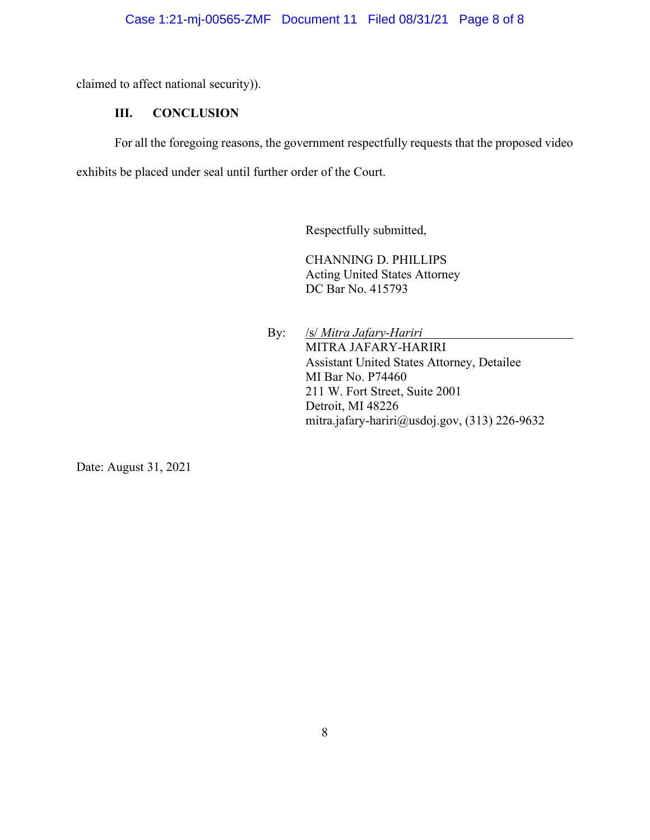claimed to affect national security)).

## **III. CONCLUSION**

For all the foregoing reasons, the government respectfully requests that the proposed video

exhibits be placed under seal until further order of the Court.

Respectfully submitted,

CHANNING D. PHILLIPS Acting United States Attorney DC Bar No. 415793

By: /s/ *Mitra Jafary-Hariri* MITRA JAFARY-HARIRI Assistant United States Attorney, Detailee MI Bar No. P74460 211 W. Fort Street, Suite 2001 Detroit, MI 48226 mitra.jafary-hariri@usdoj.gov, (313) 226-9632

Date: August 31, 2021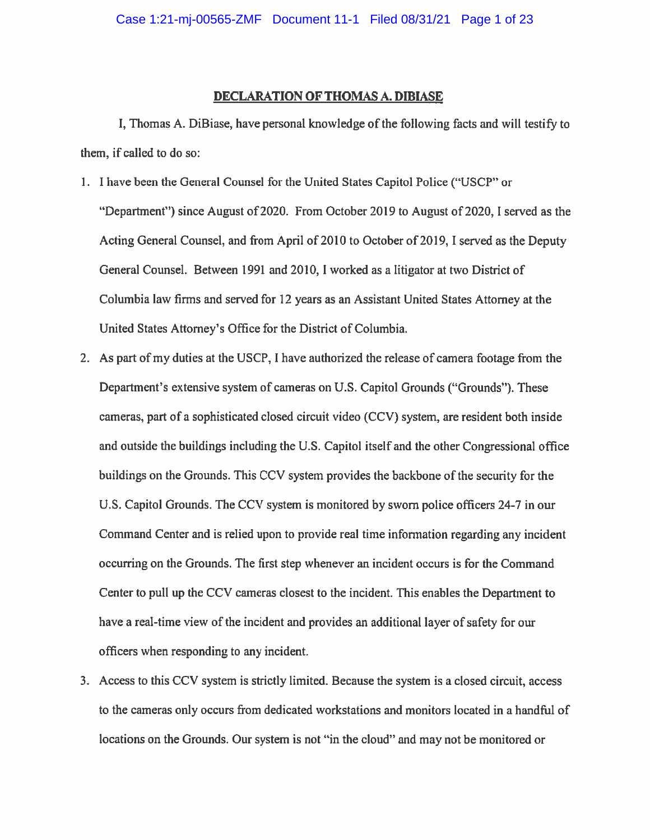### **DECLARATION OF THOMAS A. DIBIASE**

I, Thomas A. DiBiase, have personal knowledge of the following facts and will testify to them, if called to do so:

- 1. I have been the General Counsel for the United States Capitol Police ("USCP" or "Department") since August of 2020. From October 2019 to August of 2020, I served as the Acting General Counsel, and from April of 2010 to October of 2019, I served as the Deputy General Counsel. Between 1991 and 2010, I worked as a litigator at two District of Columbia law firms and served for 12 years as an Assistant United States Attorney at the United States Attorney's Office for the District of Columbia.
- 2. As part of my duties at the USCP, I have authorized the release of camera footage from the Department's extensive system of cameras on U.S. Capitol Grounds ("Grounds"). These cameras, part of a sophisticated closed circuit video (CCV) system, are resident both inside and outside the buildings including the U.S. Capitol itself and the other Congressional office buildings on the Grounds. This CCV system provides the backbone of the security for the U.S. Capitol Grounds. The CCV system is monitored by sworn police officers 24-7 in our Command Center and is relied upon to provide real time information regarding any incident occurring on the Grounds. The first step whenever an incident occurs is for the Command Center to pull up the CCV cameras closest to the incident. This enables the Department to have a real-time view of the incident and provides an additional layer of safety for our officers when responding to any incident.
- 3. Access to this CCV system is strictly limited. Because the system is a closed circuit, access to the cameras only occurs from dedicated workstations and monitors located in a handful of locations on the Grounds. Our system is not "in the cloud" and may not be monitored or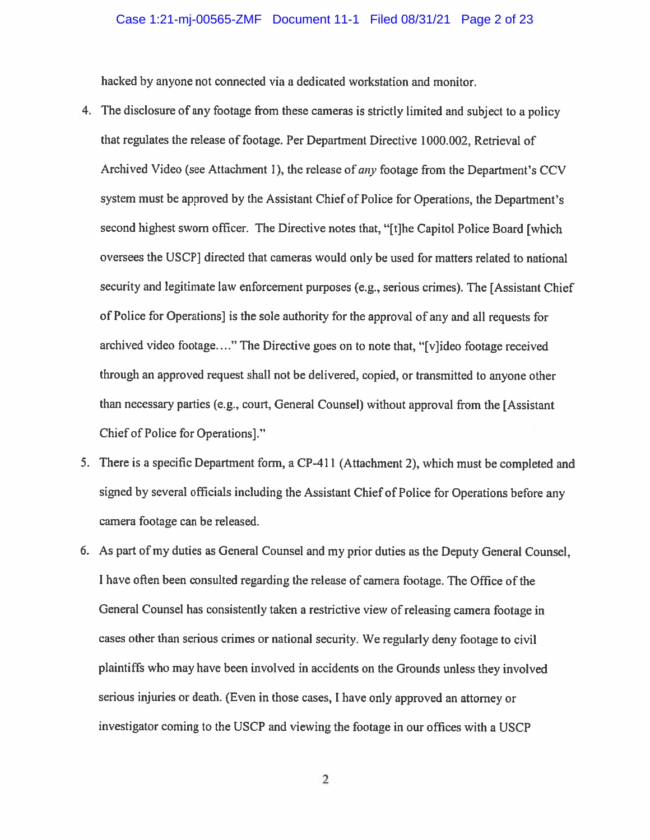### Case 1:21-mj-00565-ZMF Document 11-1 Filed 08/31/21 Page 2 of 23

hacked by anyone not connected via a dedicated workstation and monitor.

- 4. The disclosure of any footage from these cameras is strictly limited and subject to a policy that regulates the release of footage. Per Department Directive 1000.002, Retrieval of Archived Video (see Attachment 1), the release of any footage from the Department's CCV system must be approved by the Assistant Chief of Police for Operations, the Department's second highest sworn officer. The Directive notes that, "[t]he Capitol Police Board [which oversees the USCP] directed that cameras would only be used for matters related to national security and legitimate law enforcement purposes (e.g., serious crimes). The [Assistant Chief of Police for Operations] is the sole authority for the approval of any and all requests for archived video footage...." The Directive goes on to note that, "[v] ideo footage received through an approved request shall not be delivered, copied, or transmitted to anyone other than necessary parties (e.g., court, General Counsel) without approval from the [Assistant] Chief of Police for Operations]."
- 5. There is a specific Department form, a CP-411 (Attachment 2), which must be completed and signed by several officials including the Assistant Chief of Police for Operations before any camera footage can be released.
- 6. As part of my duties as General Counsel and my prior duties as the Deputy General Counsel, I have often been consulted regarding the release of camera footage. The Office of the General Counsel has consistently taken a restrictive view of releasing camera footage in cases other than serious crimes or national security. We regularly deny footage to civil plaintiffs who may have been involved in accidents on the Grounds unless they involved serious injuries or death. (Even in those cases, I have only approved an attorney or investigator coming to the USCP and viewing the footage in our offices with a USCP

 $\overline{\mathbf{c}}$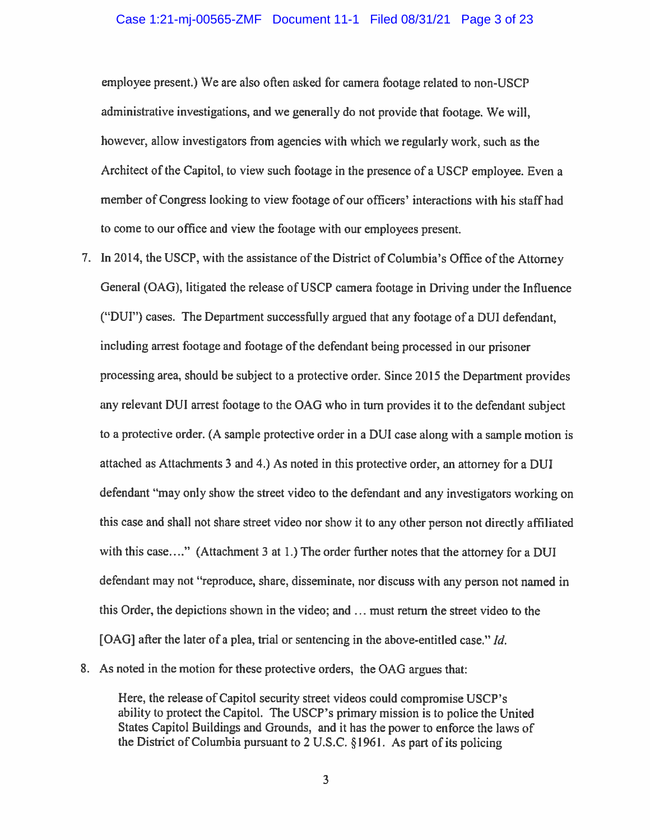employee present.) We are also often asked for camera footage related to non-USCP administrative investigations, and we generally do not provide that footage. We will, however, allow investigators from agencies with which we regularly work, such as the Architect of the Capitol, to view such footage in the presence of a USCP employee. Even a member of Congress looking to view footage of our officers' interactions with his staff had to come to our office and view the footage with our employees present.

- 7. In 2014, the USCP, with the assistance of the District of Columbia's Office of the Attorney General (OAG), litigated the release of USCP camera footage in Driving under the Influence ("DUI") cases. The Department successfully argued that any footage of a DUI defendant, including arrest footage and footage of the defendant being processed in our prisoner processing area, should be subject to a protective order. Since 2015 the Department provides any relevant DUI arrest footage to the OAG who in turn provides it to the defendant subject to a protective order. (A sample protective order in a DUI case along with a sample motion is attached as Attachments 3 and 4.) As noted in this protective order, an attorney for a DUI defendant "may only show the street video to the defendant and any investigators working on this case and shall not share street video nor show it to any other person not directly affiliated with this case...." (Attachment 3 at 1.) The order further notes that the attorney for a DUI defendant may not "reproduce, share, disseminate, nor discuss with any person not named in this Order, the depictions shown in the video; and ... must return the street video to the [OAG] after the later of a plea, trial or sentencing in the above-entitled case." Id.
- 8. As noted in the motion for these protective orders, the OAG argues that:

Here, the release of Capitol security street videos could compromise USCP's ability to protect the Capitol. The USCP's primary mission is to police the United States Capitol Buildings and Grounds, and it has the power to enforce the laws of the District of Columbia pursuant to 2 U.S.C. §1961. As part of its policing

 $\overline{3}$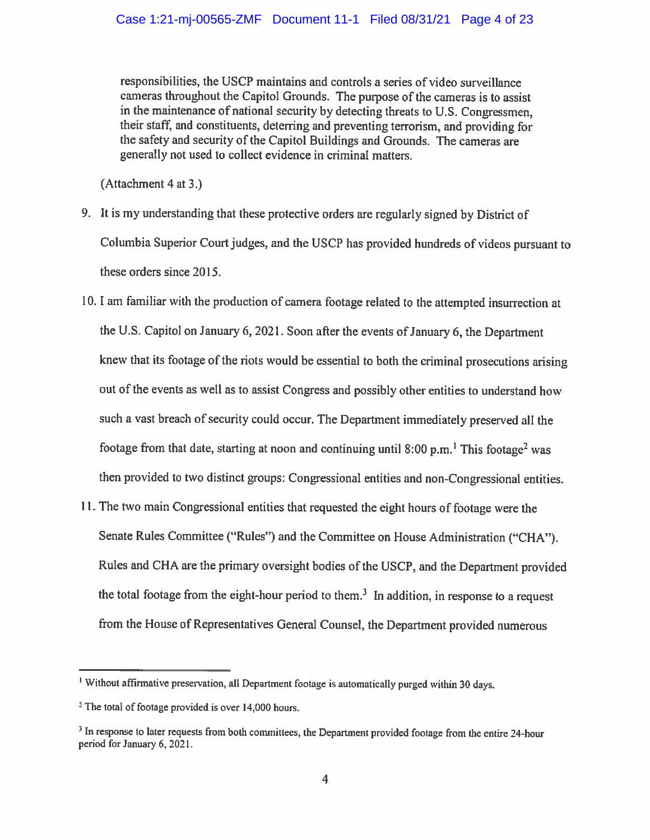responsibilities, the USCP maintains and controls a series of video surveillance cameras throughout the Capitol Grounds. The purpose of the cameras is to assist in the maintenance of national security by detecting threats to U.S. Congressmen. their staff, and constituents, deterring and preventing terrorism, and providing for the safety and security of the Capitol Buildings and Grounds. The cameras are generally not used to collect evidence in criminal matters.

(Attachment 4 at 3.)

- 9. It is my understanding that these protective orders are regularly signed by District of Columbia Superior Court judges, and the USCP has provided hundreds of videos pursuant to these orders since 2015.
- 10. I am familiar with the production of camera footage related to the attempted insurrection at the U.S. Capitol on January 6, 2021. Soon after the events of January 6, the Department knew that its footage of the riots would be essential to both the criminal prosecutions arising out of the events as well as to assist Congress and possibly other entities to understand how such a vast breach of security could occur. The Department immediately preserved all the footage from that date, starting at noon and continuing until 8:00 p.m.<sup>1</sup> This footage<sup>2</sup> was then provided to two distinct groups: Congressional entities and non-Congressional entities.
- 11. The two main Congressional entities that requested the eight hours of footage were the Senate Rules Committee ("Rules") and the Committee on House Administration ("CHA"). Rules and CHA are the primary oversight bodies of the USCP, and the Department provided the total footage from the eight-hour period to them.<sup>3</sup> In addition, in response to a request from the House of Representatives General Counsel, the Department provided numerous

<sup>&</sup>lt;sup>1</sup> Without affirmative preservation, all Department footage is automatically purged within 30 days.

<sup>&</sup>lt;sup>2</sup> The total of footage provided is over 14,000 hours.

<sup>&</sup>lt;sup>3</sup> In response to later requests from both committees, the Department provided footage from the entire 24-hour period for January 6, 2021.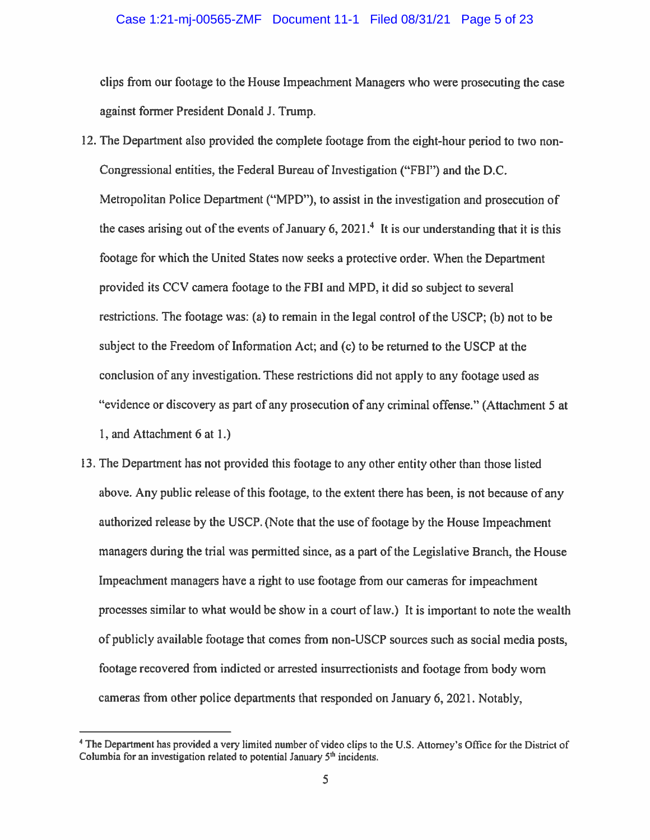### Case 1:21-mj-00565-ZMF Document 11-1 Filed 08/31/21 Page 5 of 23

clips from our footage to the House Impeachment Managers who were prosecuting the case against former President Donald J. Trump.

- 12. The Department also provided the complete footage from the eight-hour period to two non-Congressional entities, the Federal Bureau of Investigation ("FBI") and the D.C. Metropolitan Police Department ("MPD"), to assist in the investigation and prosecution of the cases arising out of the events of January 6,  $2021<sup>4</sup>$ . It is our understanding that it is this footage for which the United States now seeks a protective order. When the Department provided its CCV camera footage to the FBI and MPD, it did so subject to several restrictions. The footage was: (a) to remain in the legal control of the USCP; (b) not to be subject to the Freedom of Information Act; and (c) to be returned to the USCP at the conclusion of any investigation. These restrictions did not apply to any footage used as "evidence or discovery as part of any prosecution of any criminal offense." (Attachment 5 at 1, and Attachment 6 at 1.
- 13. The Department has not provided this footage to any other entity other than those listed above. Any public release of this footage, to the extent there has been, is not because of any authorized release by the USCP. (Note that the use of footage by the House Impeachment managers during the trial was permitted since, as a part of the Legislative Branch, the House Impeachment managers have a right to use footage from our cameras for impeachment processes similar to what would be show in a court of law.) It is important to note the wealth of publicly available footage that comes from non-USCP sources such as social media posts, footage recovered from indicted or arrested insurrectionists and footage from body worn cameras from other police departments that responded on January 6, 2021. Notably,

<sup>&</sup>lt;sup>4</sup> The Department has provided a very limited number of video clips to the U.S. Attorney's Office for the District of Columbia for an investigation related to potential January 5<sup>th</sup> incidents.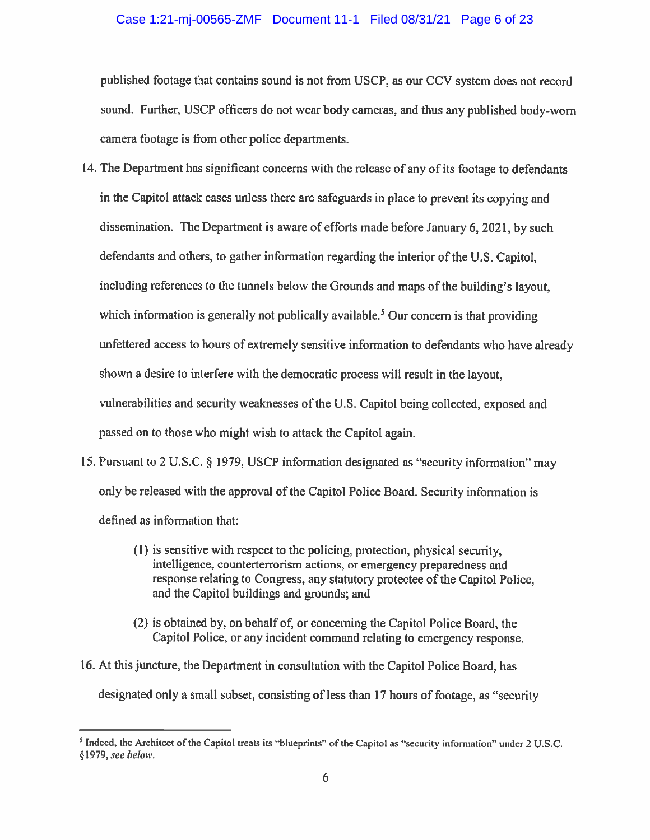### Case 1:21-mj-00565-ZMF Document 11-1 Filed 08/31/21 Page 6 of 23

published footage that contains sound is not from USCP, as our CCV system does not record sound. Further, USCP officers do not wear body cameras, and thus any published body-worn camera footage is from other police departments.

- 14. The Department has significant concerns with the release of any of its footage to defendants in the Capitol attack cases unless there are safeguards in place to prevent its copying and dissemination. The Department is aware of efforts made before January 6, 2021, by such defendants and others, to gather information regarding the interior of the U.S. Capitol, including references to the tunnels below the Grounds and maps of the building's layout. which information is generally not publically available.<sup>5</sup> Our concern is that providing unfettered access to hours of extremely sensitive information to defendants who have already shown a desire to interfere with the democratic process will result in the layout, vulnerabilities and security weaknesses of the U.S. Capitol being collected, exposed and passed on to those who might wish to attack the Capitol again.
- 15. Pursuant to 2 U.S.C. § 1979, USCP information designated as "security information" may only be released with the approval of the Capitol Police Board. Security information is defined as information that:
	- (1) is sensitive with respect to the policing, protection, physical security, intelligence, counterterrorism actions, or emergency preparedness and response relating to Congress, any statutory protectee of the Capitol Police, and the Capitol buildings and grounds; and
	- (2) is obtained by, on behalf of, or concerning the Capitol Police Board, the Capitol Police, or any incident command relating to emergency response.
- 16. At this juncture, the Department in consultation with the Capitol Police Board, has designated only a small subset, consisting of less than 17 hours of footage, as "security"

<sup>&</sup>lt;sup>5</sup> Indeed, the Architect of the Capitol treats its "blueprints" of the Capitol as "security information" under 2 U.S.C. §1979, see below.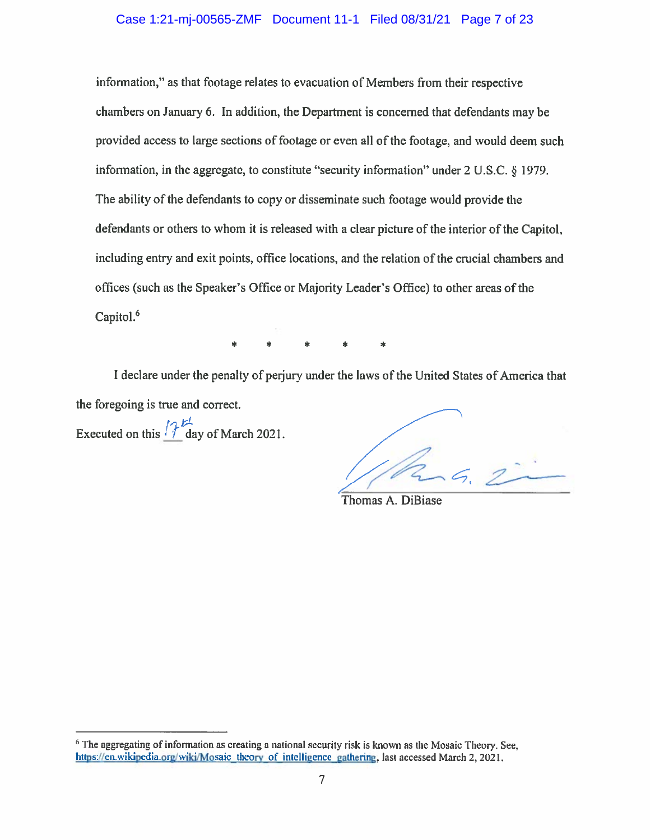### Case 1:21-mj-00565-ZMF Document 11-1 Filed 08/31/21 Page 7 of 23

information," as that footage relates to evacuation of Members from their respective chambers on January 6. In addition, the Department is concerned that defendants may be provided access to large sections of footage or even all of the footage, and would deem such information, in the aggregate, to constitute "security information" under 2 U.S.C. § 1979. The ability of the defendants to copy or disseminate such footage would provide the defendants or others to whom it is released with a clear picture of the interior of the Capitol, including entry and exit points, office locations, and the relation of the crucial chambers and offices (such as the Speaker's Office or Majority Leader's Office) to other areas of the Capitol.<sup>6</sup>

I declare under the penalty of perjury under the laws of the United States of America that the foregoing is true and correct. Executed on this  $\frac{17}{16}$  day of March 2021.

Thomas A. DiBiase

 $\delta$  The aggregating of information as creating a national security risk is known as the Mosaic Theory. See, https://en.wikipedia.org/wiki/Mosaic\_theory\_of\_intelligence\_gathering, last accessed March 2, 2021.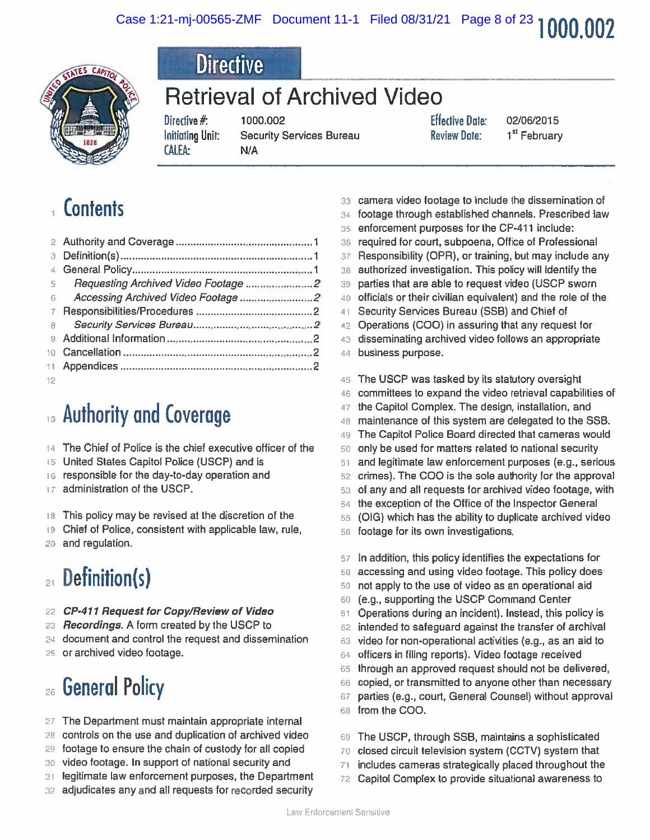

# **Directive**

Directive  $#$ **Initiating Unit: CALEA:** 

1000.002 **Security Services Bureau**  $N/A$ 

**Retrieval of Archived Video** 

**Effective Date: Review Date:** 

02/06/2015 1<sup>st</sup> February

# **Contents**

| Э  |  |
|----|--|
| 4  |  |
| 5  |  |
| 6  |  |
| 7  |  |
| 8  |  |
| Q  |  |
|    |  |
|    |  |
| 19 |  |

### **Authority and Coverage**  $13<sup>13</sup>$

- The Chief of Police is the chief executive officer of the  $14$
- United States Capitol Police (USCP) and is 15
- responsible for the day-to-day operation and 16
- administration of the USCP. 17

This policy may be revised at the discretion of the 18

Chief of Police, consistent with applicable law, rule, 19

and regulation. 20

# Definition(s)  $\overline{21}$

- **CP-411 Request for Copy/Review of Video**  $22\,$
- Recordings. A form created by the USCP to 23
- document and control the request and dissemination 24
- or archived video footage. 25

### **General Policy** 26

- The Department must maintain appropriate internal 27
- 28 controls on the use and duplication of archived video
- footage to ensure the chain of custody for all copied 29
- video footage. In support of national security and 30
- legitimate law enforcement purposes, the Department  $31$
- adjudicates any and all requests for recorded security 32
- 33 camera video footage to include the dissemination of footage through established channels. Prescribed law 34 enforcement purposes for the CP-411 include: 35 required for court, subpoena, Office of Professional 36
- Responsibility (OPR), or training, but may include any 37
- authorized investigation. This policy will identify the 38
- parties that are able to request video (USCP sworn 39
- officials or their civilian equivalent) and the role of the 40
- Security Services Bureau (SSB) and Chief of 41
- 42. Operations (COO) in assuring that any request for
- disseminating archived video follows an appropriate 43
- 44 business purpose.
- The USCP was tasked by its statutory oversight 45
- committees to expand the video retrieval capabilities of 46
- the Capitol Complex. The design, installation, and 47
- maintenance of this system are delegated to the SSB. 48
- The Capitol Police Board directed that cameras would 49
- only be used for matters related to national security 50
- and legitimate law enforcement purposes (e.g., serious 51
- crimes). The COO is the sole authority for the approval 52
- of any and all requests for archived video footage, with 53
- the exception of the Office of the Inspector General 54
- (OIG) which has the ability to duplicate archived video 55
- footage for its own investigations. 56
- In addition, this policy identifies the expectations for 57
- accessing and using video footage. This policy does 58
- not apply to the use of video as an operational aid 59
- 60 (e.g., supporting the USCP Command Center
- Operations during an incident). Instead, this policy is 61
- intended to safeguard against the transfer of archival 62
- video for non-operational activities (e.g., as an aid to 63
- officers in filing reports). Video footage received 64
- through an approved request should not be delivered. 65
- copied, or transmitted to anyone other than necessary 66
- parties (e.g., court, General Counsel) without approval 67
- from the COO. 68
	-
- The USCP, through SSB, maintains a sophisticated 69
- 70 closed circuit television system (CCTV) system that
- includes cameras strategically placed throughout the 71.
- 72 Capitol Complex to provide situational awareness to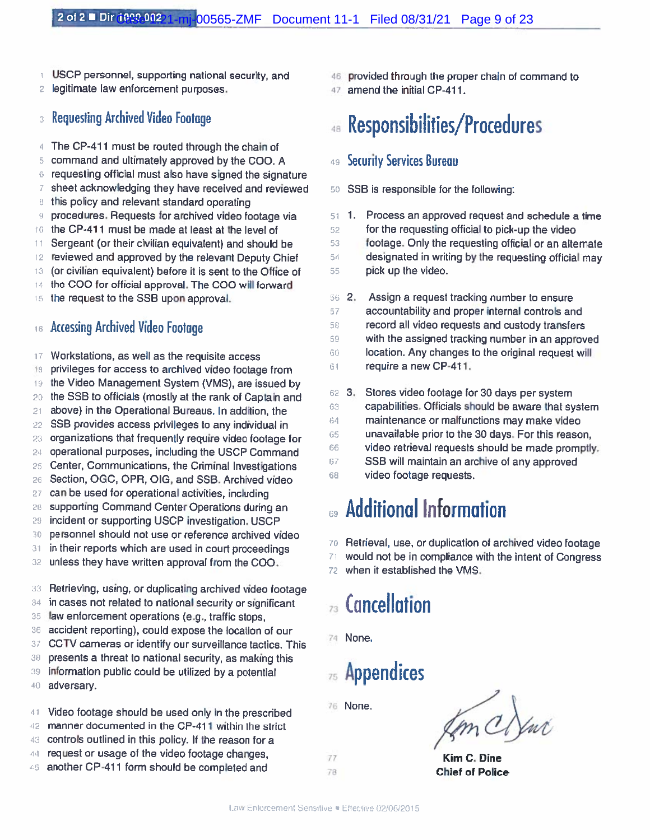- Ť. USCP personnel, supporting national security, and
- legitimate law enforcement purposes.  $\overline{c}$
- **Requesting Archived Video Footage** 3
- The CP-411 must be routed through the chain of  $\overline{4}$
- command and ultimately approved by the COO. A 5
- requesting official must also have signed the signature 6
- sheet acknowledging they have received and reviewed  $\overline{7}$
- this policy and relevant standard operating R.
- procedures. Requests for archived video footage via 9
- the CP-411 must be made at least at the level of 10
- Sergeant (or their civilian equivalent) and should be 11
- reviewed and approved by the relevant Deputy Chief  $12$
- (or civilian equivalent) before it is sent to the Office of 13
- the COO for official approval. The COO will forward 14
- the request to the SSB upon approval. 15

#### **Accessing Archived Video Footage** 16

- Workstations, as well as the requisite access 17
- privileges for access to archived video footage from 18
- the Video Management System (VMS), are issued by 19
- the SSB to officials (mostly at the rank of Captain and 20
- above) in the Operational Bureaus, In addition, the 21
- SSB provides access privileges to any individual in 22
- organizations that frequently require video footage for 23
- operational purposes, including the USCP Command 24
- 25 Center, Communications, the Criminal Investigations Section, OGC, OPR, OIG, and SSB. Archived video 26
- can be used for operational activities, including 27
- supporting Command Center Operations during an 28
- incident or supporting USCP investigation. USCP 29
- personnel should not use or reference archived video 30
- in their reports which are used in court proceedings  $31$
- unless they have written approval from the COO. 32
- Retrieving, using, or duplicating archived video footage 33
- in cases not related to national security or significant  $34$
- law enforcement operations (e.g., traffic stops, 35
- accident reporting), could expose the location of our 36
- CCTV cameras or identify our surveillance tactics. This 37
- presents a threat to national security, as making this 38
- information public could be utilized by a potential 39 adversary. 40
- Video footage should be used only in the prescribed  $41$ manner documented in the CP-411 within the strict 42 controls outlined in this policy. If the reason for a 43 request or usage of the video footage changes, 44 another CP-411 form should be completed and 45
- provided through the proper chain of command to 46
- amend the initial CP-411. 47

# Responsibilities/Procedures

#### **Security Services Bureau** 49

- SSB is responsible for the following: 50
- Process an approved request and schedule a time 51 1.
- for the requesting official to pick-up the video 52
- 53 footage. Only the requesting official or an alternate
- designated in writing by the requesting official may 54
- pick up the video. 55
- Assign a request tracking number to ensure 56 2. accountability and proper internal controls and 57 SB record all video requests and custody transfers with the assigned tracking number in an approved 59 location. Any changes to the original request will 60 require a new CP-411. 61
- Stores video footage for 30 days per system 62  $3.$ capabilities. Officials should be aware that system 63 maintenance or malfunctions may make video 64 unavailable prior to the 30 days. For this reason, 65 video retrieval requests should be made promptly. 66 SSB will maintain an archive of any approved 67
- video footage requests. 68

# **Additional Information**

- 70 Retrieval, use, or duplication of archived video footage
- would not be in compliance with the intent of Congress 71.
- 72 when it established the VMS.

# <sub>23</sub> Cancellation

74 None.

# <sub>75</sub> Appendices

- 76 None.
- 77 78



**Kim C. Dine Chief of Police**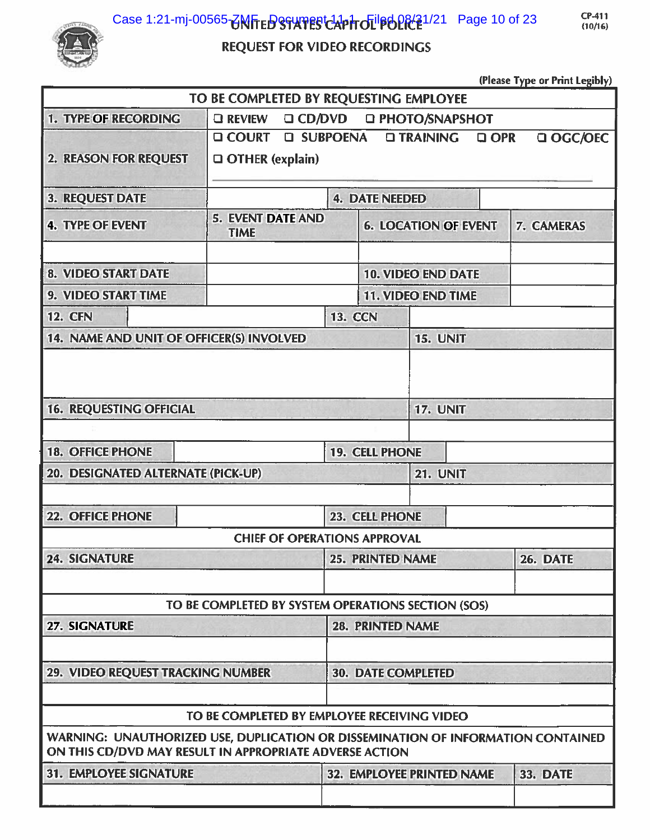

REQUEST FOR VIDEO RECORDINGS

(Please Type or Print Legibly)

| TO BE COMPLETED BY REQUESTING EMPLOYEE                                                                                                      |                                                                                                               |                       |                 |                                  |                 |
|---------------------------------------------------------------------------------------------------------------------------------------------|---------------------------------------------------------------------------------------------------------------|-----------------------|-----------------|----------------------------------|-----------------|
| $\Box$ CD/DVD<br>1. TYPE OF RECORDING<br><b>Q REVIEW</b><br>□ PHOTO/SNAPSHOT                                                                |                                                                                                               |                       |                 |                                  |                 |
| 2. REASON FOR REQUEST                                                                                                                       | <b>Q SUBPOENA</b><br><b>O TRAINING</b><br><b>Q COURT</b><br>$\Box$ OPR<br>$\Box$ OGC/OEC<br>□ OTHER (explain) |                       |                 |                                  |                 |
| 3. REQUEST DATE                                                                                                                             |                                                                                                               | <b>4. DATE NEEDED</b> |                 |                                  |                 |
| <b>4. TYPE OF EVENT</b>                                                                                                                     | <b>5. EVENT DATE AND</b><br><b>TIME</b>                                                                       |                       |                 | <b>6. LOCATION OF EVENT</b>      | 7. CAMERAS      |
| 8. VIDEO START DATE                                                                                                                         |                                                                                                               |                       |                 | <b>10. VIDEO END DATE</b>        |                 |
| 9. VIDEO START TIME                                                                                                                         |                                                                                                               |                       |                 | 11. VIDEO END TIME               |                 |
| <b>12. CFN</b>                                                                                                                              |                                                                                                               | <b>13. CCN</b>        |                 |                                  |                 |
| 14. NAME AND UNIT OF OFFICER(S) INVOLVED                                                                                                    |                                                                                                               |                       |                 | <b>15. UNIT</b>                  |                 |
| <b>16. REQUESTING OFFICIAL</b>                                                                                                              |                                                                                                               |                       | <b>17. UNIT</b> |                                  |                 |
| <b>18. OFFICE PHONE</b>                                                                                                                     |                                                                                                               |                       | 19. CELL PHONE  |                                  |                 |
| 20. DESIGNATED ALTERNATE (PICK-UP)                                                                                                          |                                                                                                               |                       | <b>21. UNIT</b> |                                  |                 |
|                                                                                                                                             |                                                                                                               |                       |                 |                                  |                 |
| 22. OFFICE PHONE                                                                                                                            | 23. CELL PHONE                                                                                                |                       |                 |                                  |                 |
|                                                                                                                                             | <b>CHIEF OF OPERATIONS APPROVAL</b>                                                                           |                       |                 |                                  |                 |
| <b>24. SIGNATURE</b>                                                                                                                        |                                                                                                               | 25. PRINTED NAME      |                 |                                  | <b>26. DATE</b> |
|                                                                                                                                             |                                                                                                               |                       |                 |                                  |                 |
|                                                                                                                                             | TO BE COMPLETED BY SYSTEM OPERATIONS SECTION (SOS)                                                            |                       |                 |                                  |                 |
| 27. SIGNATURE                                                                                                                               | 28. PRINTED NAME                                                                                              |                       |                 |                                  |                 |
|                                                                                                                                             |                                                                                                               |                       |                 |                                  |                 |
| 29. VIDEO REQUEST TRACKING NUMBER                                                                                                           | <b>30. DATE COMPLETED</b>                                                                                     |                       |                 |                                  |                 |
|                                                                                                                                             |                                                                                                               |                       |                 |                                  |                 |
|                                                                                                                                             | TO BE COMPLETED BY EMPLOYEE RECEIVING VIDEO                                                                   |                       |                 |                                  |                 |
| WARNING: UNAUTHORIZED USE, DUPLICATION OR DISSEMINATION OF INFORMATION CONTAINED<br>ON THIS CD/DVD MAY RESULT IN APPROPRIATE ADVERSE ACTION |                                                                                                               |                       |                 |                                  |                 |
| <b>31. EMPLOYEE SIGNATURE</b>                                                                                                               |                                                                                                               |                       |                 | <b>32. EMPLOYEE PRINTED NAME</b> | <b>33. DATE</b> |
|                                                                                                                                             |                                                                                                               |                       |                 |                                  |                 |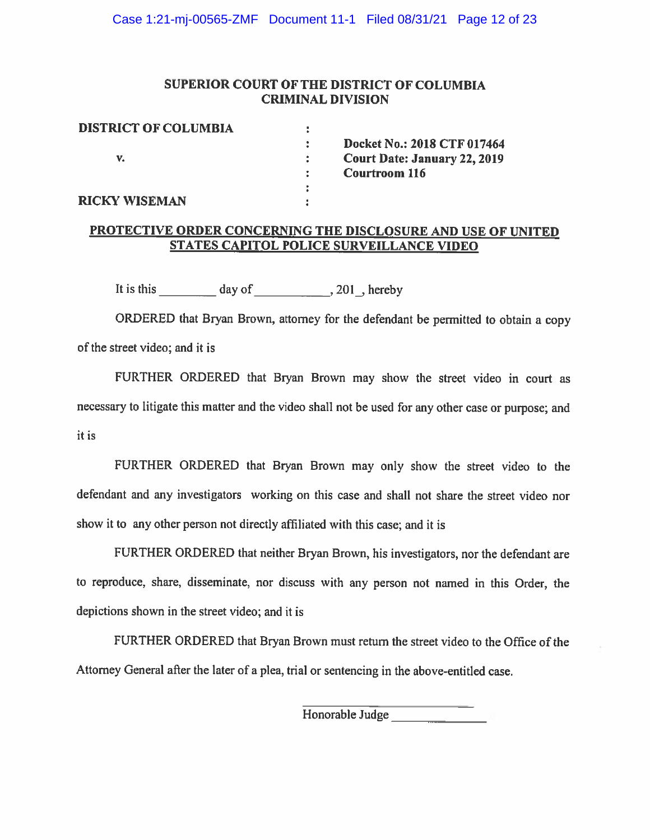### **SUPERIOR COURT OF THE DISTRICT OF COLUMBIA CRIMINAL DIVISION**

| DISTRICT OF COLUMBIA |   |                                     |
|----------------------|---|-------------------------------------|
|                      |   | Docket No.: 2018 CTF 017464         |
| v.                   |   | <b>Court Date: January 22, 2019</b> |
|                      |   | <b>Courtroom 116</b>                |
|                      | : |                                     |
| <b>RICKY WISEMAN</b> |   |                                     |
|                      |   |                                     |

### PROTECTIVE ORDER CONCERNING THE DISCLOSURE AND USE OF UNITED **STATES CAPITOL POLICE SURVEILLANCE VIDEO**

It is this day of 201, hereby

ORDERED that Bryan Brown, attorney for the defendant be permitted to obtain a copy of the street video; and it is

FURTHER ORDERED that Bryan Brown may show the street video in court as necessary to litigate this matter and the video shall not be used for any other case or purpose; and it is

FURTHER ORDERED that Bryan Brown may only show the street video to the defendant and any investigators working on this case and shall not share the street video nor show it to any other person not directly affiliated with this case; and it is

FURTHER ORDERED that neither Bryan Brown, his investigators, nor the defendant are to reproduce, share, disseminate, nor discuss with any person not named in this Order, the depictions shown in the street video; and it is

FURTHER ORDERED that Bryan Brown must return the street video to the Office of the Attorney General after the later of a plea, trial or sentencing in the above-entitled case.

Honorable Judge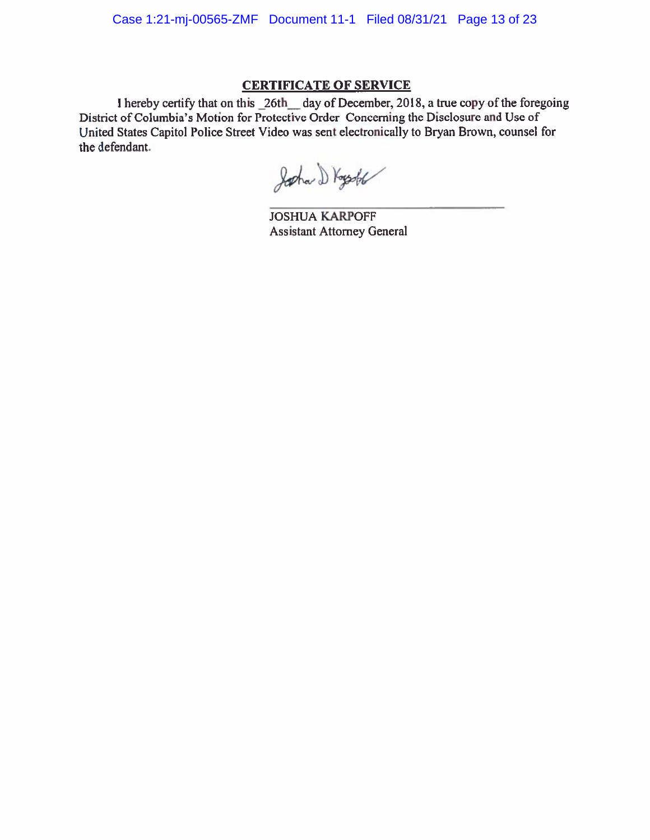## **CERTIFICATE OF SERVICE**

I hereby certify that on this \_26th\_ day of December, 2018, a true copy of the foregoing District of Columbia's Motion for Protective Order Concerning the Disclosure and Use of United States Capitol Police Street Video was sent electronically to Bryan Brown, counsel for the defendant.

Josha D Koysoft

**JOSHUA KARPOFF Assistant Attorney General**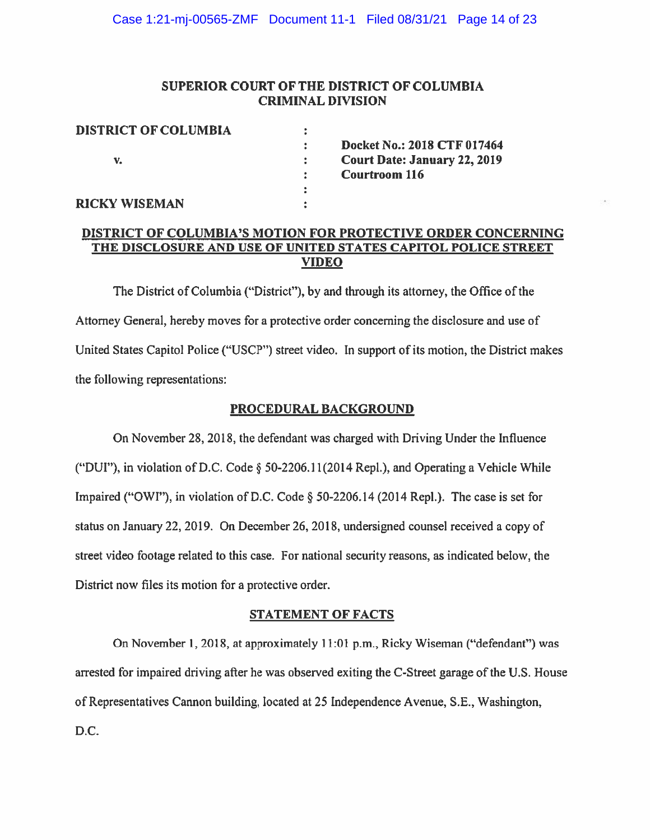### **SUPERIOR COURT OF THE DISTRICT OF COLUMBIA CRIMINAL DIVISION**

| <b>DISTRICT OF COLUMBIA</b> |                                     |
|-----------------------------|-------------------------------------|
|                             | Docket No.: 2018 CTF 017464         |
|                             | <b>Court Date: January 22, 2019</b> |
|                             | Courtroom 116                       |
|                             |                                     |
| <b>RICKY WISEMAN</b>        |                                     |

### DISTRICT OF COLUMBIA'S MOTION FOR PROTECTIVE ORDER CONCERNING THE DISCLOSURE AND USE OF UNITED STATES CAPITOL POLICE STREET **VIDEO**

The District of Columbia ("District"), by and through its attorney, the Office of the Attorney General, hereby moves for a protective order concerning the disclosure and use of United States Capitol Police ("USCP") street video. In support of its motion, the District makes the following representations:

### PROCEDURAL BACKGROUND

On November 28, 2018, the defendant was charged with Driving Under the Influence ("DUI"), in violation of D.C. Code § 50-2206.11(2014 Repl.), and Operating a Vehicle While Impaired ("OWI"), in violation of D.C. Code § 50-2206.14 (2014 Repl.). The case is set for status on January 22, 2019. On December 26, 2018, undersigned counsel received a copy of street video footage related to this case. For national security reasons, as indicated below, the District now files its motion for a protective order.

### **STATEMENT OF FACTS**

On November 1, 2018, at approximately 11:01 p.m., Ricky Wiseman ("defendant") was arrested for impaired driving after he was observed exiting the C-Street garage of the U.S. House of Representatives Cannon building, located at 25 Independence Avenue, S.E., Washington, D.C.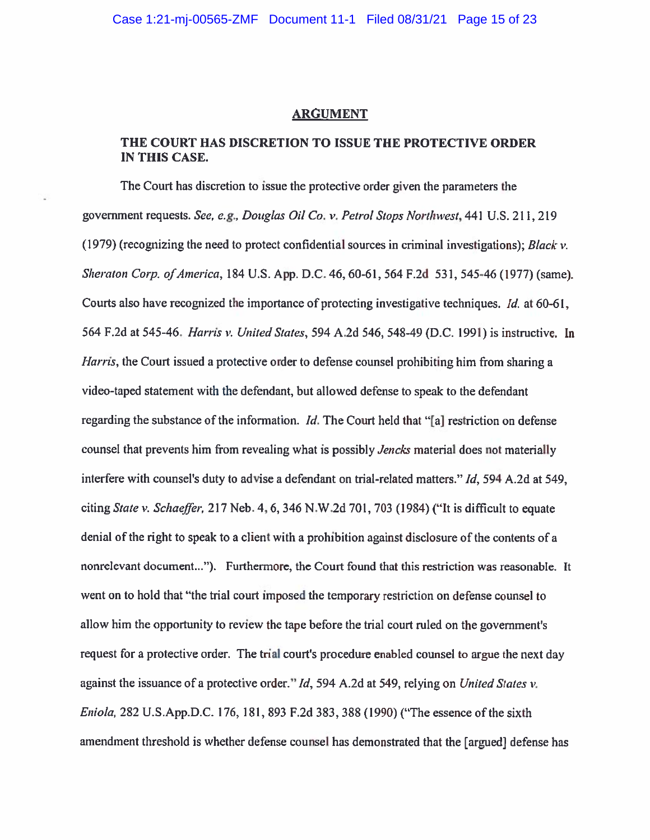#### **ARGUMENT**

### THE COURT HAS DISCRETION TO ISSUE THE PROTECTIVE ORDER IN THIS CASE.

The Court has discretion to issue the protective order given the parameters the government requests. See, e.g., Douglas Oil Co. v. Petrol Stops Northwest, 441 U.S. 211, 219 (1979) (recognizing the need to protect confidential sources in criminal investigations); Black  $\nu$ . Sheraton Corp. of America, 184 U.S. App. D.C. 46, 60-61, 564 F.2d 531, 545-46 (1977) (same). Courts also have recognized the importance of protecting investigative techniques. Id. at 60-61, 564 F.2d at 545-46. Harris v. United States, 594 A.2d 546, 548-49 (D.C. 1991) is instructive. In *Harris*, the Court issued a protective order to defense counsel prohibiting him from sharing a video-taped statement with the defendant, but allowed defense to speak to the defendant regarding the substance of the information. *Id*. The Court held that "[a] restriction on defense counsel that prevents him from revealing what is possibly *Jencks* material does not materially interfere with counsel's duty to advise a defendant on trial-related matters." Id, 594 A.2d at 549, citing State v. Schaeffer, 217 Neb. 4, 6, 346 N.W.2d 701, 703 (1984) ("It is difficult to equate denial of the right to speak to a client with a prohibition against disclosure of the contents of a nonrelevant document..."). Furthermore, the Court found that this restriction was reasonable. It went on to hold that "the trial court imposed the temporary restriction on defense counsel to allow him the opportunity to review the tape before the trial court ruled on the government's request for a protective order. The trial court's procedure enabled counsel to argue the next day against the issuance of a protective order." Id, 594 A.2d at 549, relying on United States  $v_i$ *Eniola*, 282 U.S.App.D.C. 176, 181, 893 F.2d 383, 388 (1990) ("The essence of the sixth amendment threshold is whether defense counsel has demonstrated that the [argued] defense has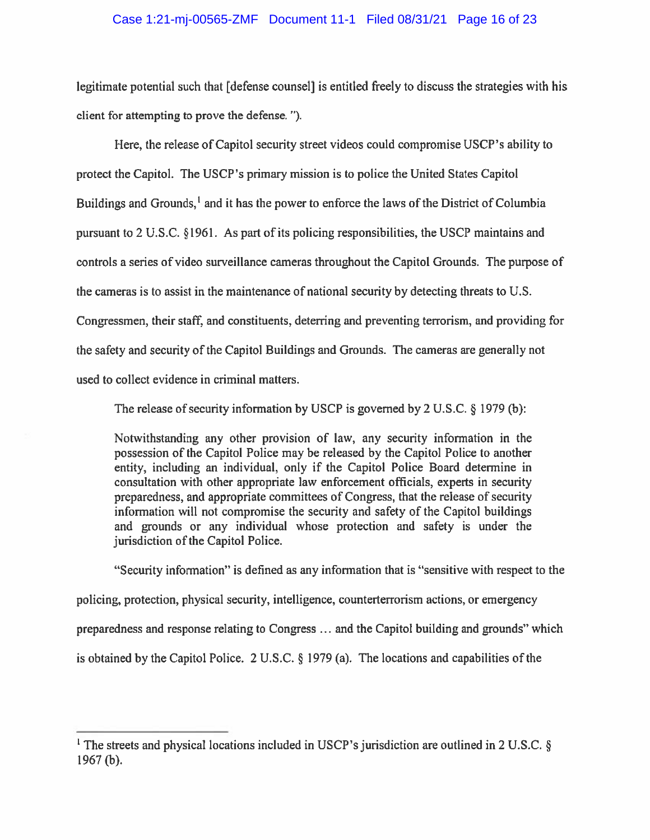### Case 1:21-mj-00565-ZMF Document 11-1 Filed 08/31/21 Page 16 of 23

legitimate potential such that [defense counsel] is entitled freely to discuss the strategies with his client for attempting to prove the defense.").

Here, the release of Capitol security street videos could compromise USCP's ability to protect the Capitol. The USCP's primary mission is to police the United States Capitol Buildings and Grounds,<sup>1</sup> and it has the power to enforce the laws of the District of Columbia pursuant to 2 U.S.C. §1961. As part of its policing responsibilities, the USCP maintains and controls a series of video surveillance cameras throughout the Capitol Grounds. The purpose of the cameras is to assist in the maintenance of national security by detecting threats to U.S. Congressmen, their staff, and constituents, deterring and preventing terrorism, and providing for the safety and security of the Capitol Buildings and Grounds. The cameras are generally not used to collect evidence in criminal matters.

The release of security information by USCP is governed by  $2$  U.S.C.  $\S$  1979 (b):

Notwithstanding any other provision of law, any security information in the possession of the Capitol Police may be released by the Capitol Police to another entity, including an individual, only if the Capitol Police Board determine in consultation with other appropriate law enforcement officials, experts in security preparedness, and appropriate committees of Congress, that the release of security information will not compromise the security and safety of the Capitol buildings and grounds or any individual whose protection and safety is under the jurisdiction of the Capitol Police.

"Security information" is defined as any information that is "sensitive with respect to the policing, protection, physical security, intelligence, counterterrorism actions, or emergency preparedness and response relating to Congress ... and the Capitol building and grounds" which is obtained by the Capitol Police.  $2 \text{ U.S.C.}$  § 1979 (a). The locations and capabilities of the

<sup>&</sup>lt;sup>1</sup> The streets and physical locations included in USCP's jurisdiction are outlined in 2 U.S.C.  $\S$  $1967(b)$ .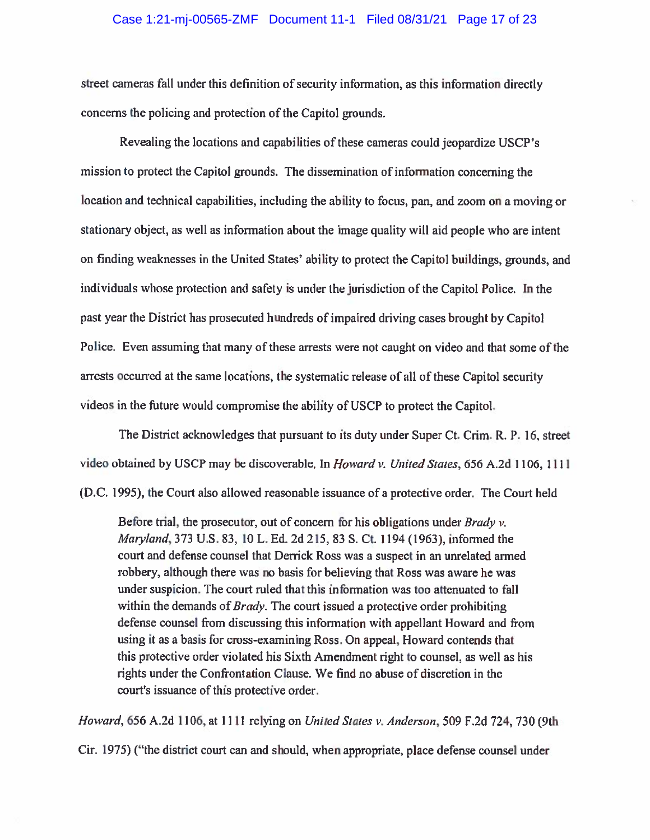### Case 1:21-mj-00565-ZMF Document 11-1 Filed 08/31/21 Page 17 of 23

street cameras fall under this definition of security information, as this information directly concerns the policing and protection of the Capitol grounds.

Revealing the locations and capabilities of these cameras could ieopardize USCP's mission to protect the Capitol grounds. The dissemination of information concerning the location and technical capabilities, including the ability to focus, pan, and zoom on a moving or stationary object, as well as information about the image quality will aid people who are intent on finding weaknesses in the United States' ability to protect the Capitol buildings, grounds, and individuals whose protection and safety is under the jurisdiction of the Capitol Police. In the past year the District has prosecuted hundreds of impaired driving cases brought by Capitol Police. Even assuming that many of these arrests were not caught on video and that some of the arrests occurred at the same locations, the systematic release of all of these Capitol security videos in the future would compromise the ability of USCP to protect the Capitol.

The District acknowledges that pursuant to its duty under Super Ct. Crim. R. P. 16, street video obtained by USCP may be discoverable. In Howard v. United States, 656 A.2d 1106, 1111 (D.C. 1995), the Court also allowed reasonable issuance of a protective order. The Court held

Before trial, the prosecutor, out of concern for his obligations under *Brady v*. Maryland, 373 U.S. 83, 10 L. Ed. 2d 215, 83 S. Ct. 1194 (1963), informed the court and defense counsel that Derrick Ross was a suspect in an unrelated armed robbery, although there was no basis for believing that Ross was aware he was under suspicion. The court ruled that this information was too attenuated to fall within the demands of *Brady*. The court issued a protective order prohibiting defense counsel from discussing this information with appellant Howard and from using it as a basis for cross-examining Ross. On appeal, Howard contends that this protective order violated his Sixth Amendment right to counsel, as well as his rights under the Confrontation Clause. We find no abuse of discretion in the court's issuance of this protective order.

Howard, 656 A.2d 1106, at 1111 relying on United States v. Anderson, 509 F.2d 724, 730 (9th Cir. 1975) ("the district court can and should, when appropriate, place defense counsel under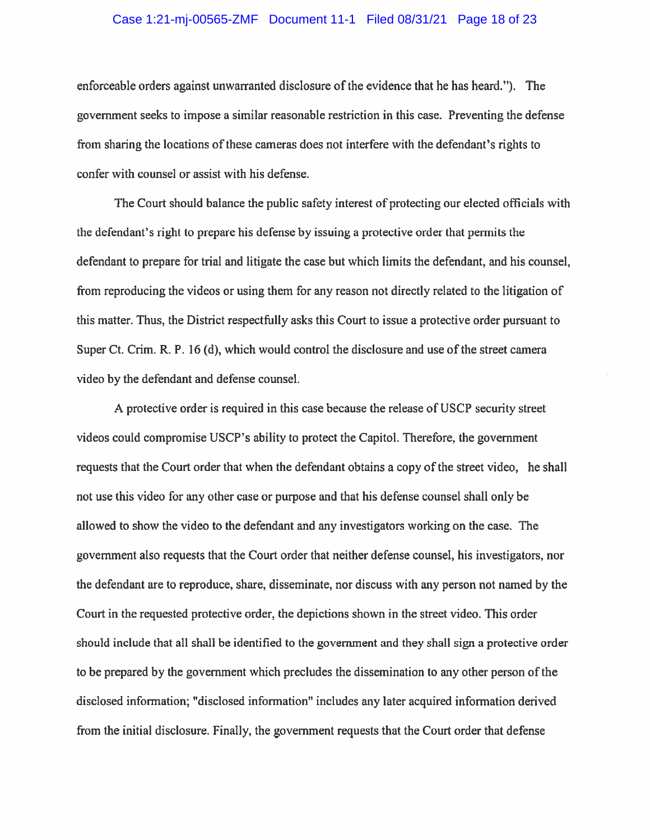### Case 1:21-mj-00565-ZMF Document 11-1 Filed 08/31/21 Page 18 of 23

enforceable orders against unwarranted disclosure of the evidence that he has heard."). The government seeks to impose a similar reasonable restriction in this case. Preventing the defense from sharing the locations of these cameras does not interfere with the defendant's rights to confer with counsel or assist with his defense.

The Court should balance the public safety interest of protecting our elected officials with the defendant's right to prepare his defense by issuing a protective order that permits the defendant to prepare for trial and litigate the case but which limits the defendant, and his counsel, from reproducing the videos or using them for any reason not directly related to the litigation of this matter. Thus, the District respectfully asks this Court to issue a protective order pursuant to Super Ct. Crim. R. P. 16 (d), which would control the disclosure and use of the street camera video by the defendant and defense counsel.

A protective order is required in this case because the release of USCP security street videos could compromise USCP's ability to protect the Capitol. Therefore, the government requests that the Court order that when the defendant obtains a copy of the street video, he shall not use this video for any other case or purpose and that his defense counsel shall only be allowed to show the video to the defendant and any investigators working on the case. The government also requests that the Court order that neither defense counsel, his investigators, nor the defendant are to reproduce, share, disseminate, nor discuss with any person not named by the Court in the requested protective order, the depictions shown in the street video. This order should include that all shall be identified to the government and they shall sign a protective order to be prepared by the government which precludes the dissemination to any other person of the disclosed information; "disclosed information" includes any later acquired information derived from the initial disclosure. Finally, the government requests that the Court order that defense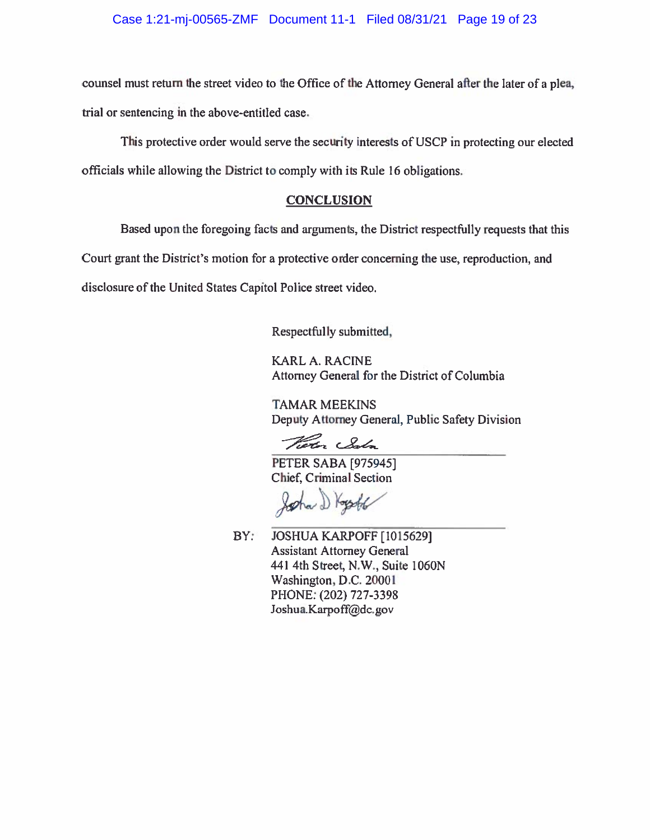counsel must return the street video to the Office of the Attorney General after the later of a plea, trial or sentencing in the above-entitled case.

This protective order would serve the security interests of USCP in protecting our elected

officials while allowing the District to comply with its Rule 16 obligations.

### **CONCLUSION**

Based upon the foregoing facts and arguments, the District respectfully requests that this

Court grant the District's motion for a protective order concerning the use, reproduction, and

disclosure of the United States Capitol Police street video.

Respectfully submitted,

**KARL A. RACINE** Attorney General for the District of Columbia

**TAMAR MEEKINS** Deputy Attorney General, Public Safety Division

Heren Sala

**PETER SABA [975945]** Chief, Criminal Section

Josha D Koystof

JOSHUA KARPOFF [1015629] BY: **Assistant Attorney General** 441 4th Street, N.W., Suite 1060N Washington, D.C. 20001 PHONE: (202) 727-3398 Joshua.Karpoff@dc.gov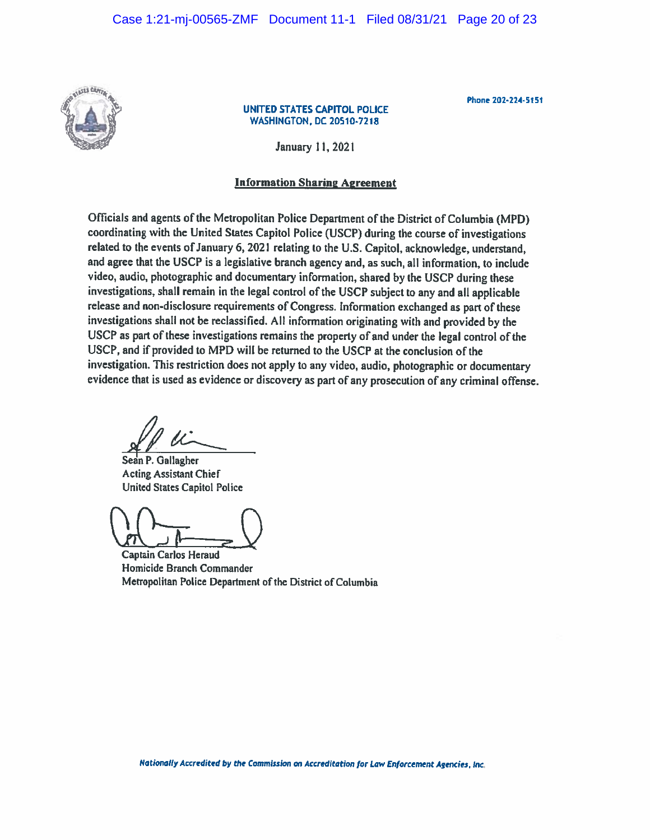

#### **UNITED STATES CAPITOL POLICE WASHINGTON, DC 20510-7218**

Phone 202-224-5151

**January 11, 2021** 

### **Information Sharing Agreement**

Officials and agents of the Metropolitan Police Department of the District of Columbia (MPD) coordinating with the United States Capitol Police (USCP) during the course of investigations related to the events of January 6, 2021 relating to the U.S. Capitol, acknowledge, understand, and agree that the USCP is a legislative branch agency and, as such, all information, to include video, audio, photographic and documentary information, shared by the USCP during these investigations, shall remain in the legal control of the USCP subject to any and all applicable release and non-disclosure requirements of Congress. Information exchanged as part of these investigations shall not be reclassified. All information originating with and provided by the USCP as part of these investigations remains the property of and under the legal control of the USCP, and if provided to MPD will be returned to the USCP at the conclusion of the investigation. This restriction does not apply to any video, audio, photographic or documentary evidence that is used as evidence or discovery as part of any prosecution of any criminal offense.

Sean P. Gallagher **Acting Assistant Chief** United States Capitol Police

**Captain Carlos Heraud** Homicide Branch Commander Metropolitan Police Department of the District of Columbia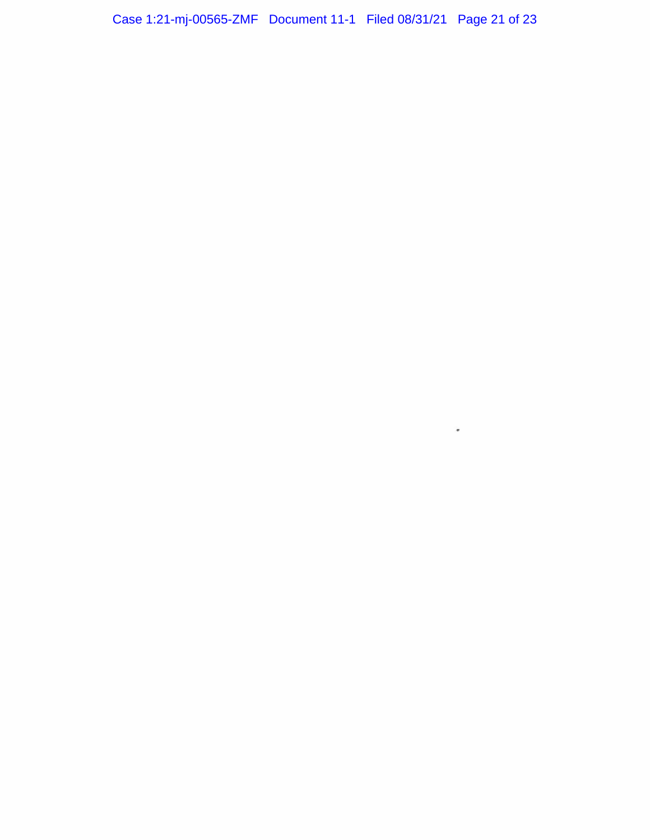Case 1:21-mj-00565-ZMF Document 11-1 Filed 08/31/21 Page 21 of 23

 $\sim$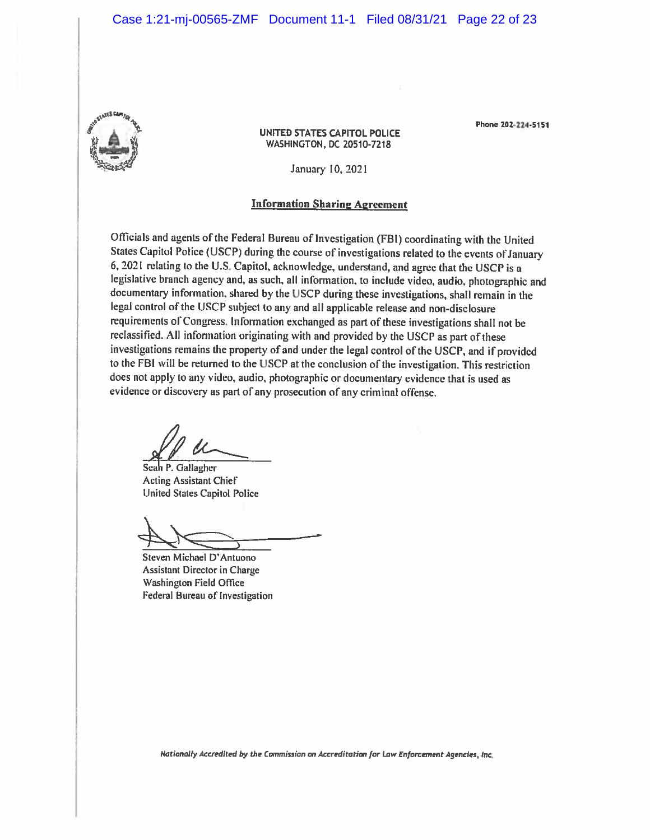

**UNITED STATES CAPITOL POLICE WASHINGTON, DC 20510-7218** 

Phone 202-224-5151

January 10, 2021

#### **Information Sharing Agreement**

Officials and agents of the Federal Bureau of Investigation (FBI) coordinating with the United States Capitol Police (USCP) during the course of investigations related to the events of January 6, 2021 relating to the U.S. Capitol, acknowledge, understand, and agree that the USCP is a legislative branch agency and, as such, all information, to include video, audio, photographic and documentary information, shared by the USCP during these investigations, shall remain in the legal control of the USCP subject to any and all applicable release and non-disclosure requirements of Congress. Information exchanged as part of these investigations shall not be reclassified. All information originating with and provided by the USCP as part of these investigations remains the property of and under the legal control of the USCP, and if provided to the FBI will be returned to the USCP at the conclusion of the investigation. This restriction does not apply to any video, audio, photographic or documentary evidence that is used as evidence or discovery as part of any prosecution of any criminal offense.

Seah P. Gallagher **Acting Assistant Chief** United States Capitol Police

Steven Michael D'Antuono **Assistant Director in Charge Washington Field Office** Federal Bureau of Investigation

Nationally Accredited by the Commission on Accreditation for Law Enforcement Agencies, Inc.